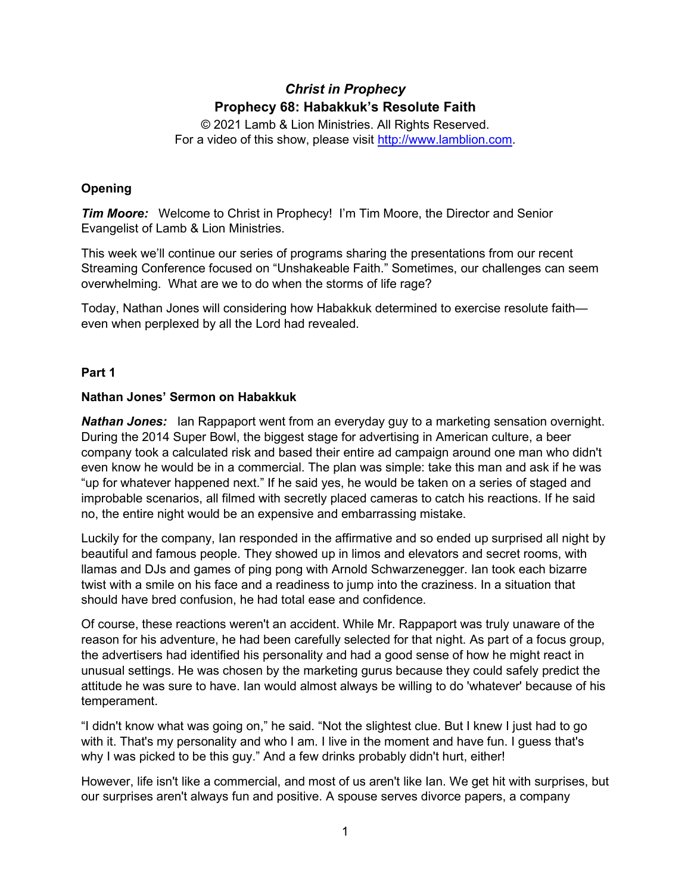# *Christ in Prophecy* **Prophecy 68: Habakkuk's Resolute Faith**

© 2021 Lamb & Lion Ministries. All Rights Reserved. For a video of this show, please visit [http://www.lamblion.com.](http://www.lamblion.com/)

# **Opening**

*Tim Moore:* Welcome to Christ in Prophecy! I'm Tim Moore, the Director and Senior Evangelist of Lamb & Lion Ministries.

This week we'll continue our series of programs sharing the presentations from our recent Streaming Conference focused on "Unshakeable Faith." Sometimes, our challenges can seem overwhelming. What are we to do when the storms of life rage?

Today, Nathan Jones will considering how Habakkuk determined to exercise resolute faith even when perplexed by all the Lord had revealed.

## **Part 1**

## **Nathan Jones' Sermon on Habakkuk**

*Nathan Jones:* Ian Rappaport went from an everyday guy to a marketing sensation overnight. During the 2014 Super Bowl, the biggest stage for advertising in American culture, a beer company took a calculated risk and based their entire ad campaign around one man who didn't even know he would be in a commercial. The plan was simple: take this man and ask if he was "up for whatever happened next." If he said yes, he would be taken on a series of staged and improbable scenarios, all filmed with secretly placed cameras to catch his reactions. If he said no, the entire night would be an expensive and embarrassing mistake.

Luckily for the company, Ian responded in the affirmative and so ended up surprised all night by beautiful and famous people. They showed up in limos and elevators and secret rooms, with llamas and DJs and games of ping pong with Arnold Schwarzenegger. Ian took each bizarre twist with a smile on his face and a readiness to jump into the craziness. In a situation that should have bred confusion, he had total ease and confidence.

Of course, these reactions weren't an accident. While Mr. Rappaport was truly unaware of the reason for his adventure, he had been carefully selected for that night. As part of a focus group, the advertisers had identified his personality and had a good sense of how he might react in unusual settings. He was chosen by the marketing gurus because they could safely predict the attitude he was sure to have. Ian would almost always be willing to do 'whatever' because of his temperament.

"I didn't know what was going on," he said. "Not the slightest clue. But I knew I just had to go with it. That's my personality and who I am. I live in the moment and have fun. I guess that's why I was picked to be this guy." And a few drinks probably didn't hurt, either!

However, life isn't like a commercial, and most of us aren't like Ian. We get hit with surprises, but our surprises aren't always fun and positive. A spouse serves divorce papers, a company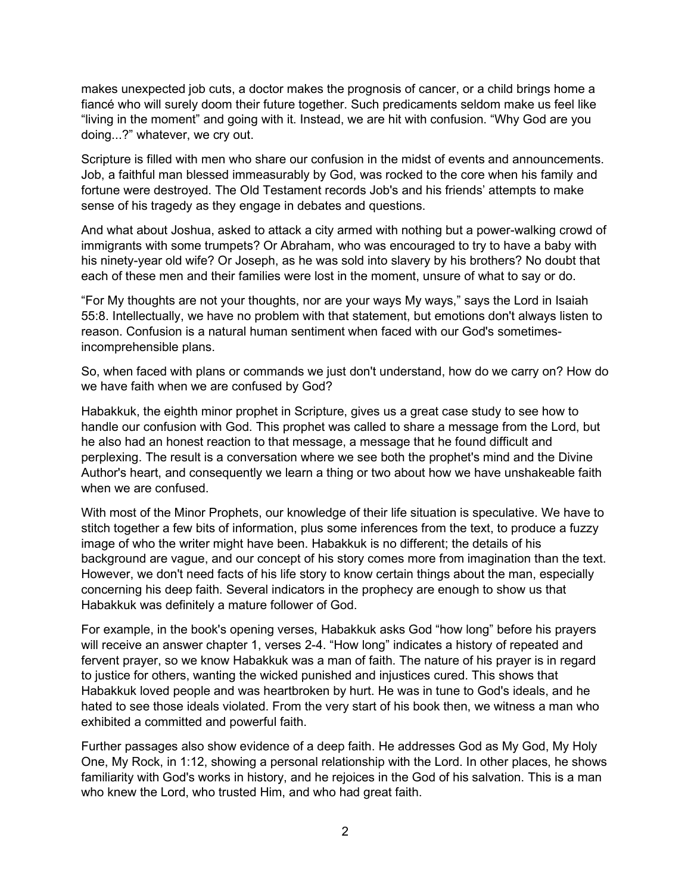makes unexpected job cuts, a doctor makes the prognosis of cancer, or a child brings home a fiancé who will surely doom their future together. Such predicaments seldom make us feel like "living in the moment" and going with it. Instead, we are hit with confusion. "Why God are you doing...?" whatever, we cry out.

Scripture is filled with men who share our confusion in the midst of events and announcements. Job, a faithful man blessed immeasurably by God, was rocked to the core when his family and fortune were destroyed. The Old Testament records Job's and his friends' attempts to make sense of his tragedy as they engage in debates and questions.

And what about Joshua, asked to attack a city armed with nothing but a power-walking crowd of immigrants with some trumpets? Or Abraham, who was encouraged to try to have a baby with his ninety-year old wife? Or Joseph, as he was sold into slavery by his brothers? No doubt that each of these men and their families were lost in the moment, unsure of what to say or do.

"For My thoughts are not your thoughts, nor are your ways My ways," says the Lord in Isaiah 55:8. Intellectually, we have no problem with that statement, but emotions don't always listen to reason. Confusion is a natural human sentiment when faced with our God's sometimesincomprehensible plans.

So, when faced with plans or commands we just don't understand, how do we carry on? How do we have faith when we are confused by God?

Habakkuk, the eighth minor prophet in Scripture, gives us a great case study to see how to handle our confusion with God. This prophet was called to share a message from the Lord, but he also had an honest reaction to that message, a message that he found difficult and perplexing. The result is a conversation where we see both the prophet's mind and the Divine Author's heart, and consequently we learn a thing or two about how we have unshakeable faith when we are confused.

With most of the Minor Prophets, our knowledge of their life situation is speculative. We have to stitch together a few bits of information, plus some inferences from the text, to produce a fuzzy image of who the writer might have been. Habakkuk is no different; the details of his background are vague, and our concept of his story comes more from imagination than the text. However, we don't need facts of his life story to know certain things about the man, especially concerning his deep faith. Several indicators in the prophecy are enough to show us that Habakkuk was definitely a mature follower of God.

For example, in the book's opening verses, Habakkuk asks God "how long" before his prayers will receive an answer chapter 1, verses 2-4. "How long" indicates a history of repeated and fervent prayer, so we know Habakkuk was a man of faith. The nature of his prayer is in regard to justice for others, wanting the wicked punished and injustices cured. This shows that Habakkuk loved people and was heartbroken by hurt. He was in tune to God's ideals, and he hated to see those ideals violated. From the very start of his book then, we witness a man who exhibited a committed and powerful faith.

Further passages also show evidence of a deep faith. He addresses God as My God, My Holy One, My Rock, in 1:12, showing a personal relationship with the Lord. In other places, he shows familiarity with God's works in history, and he rejoices in the God of his salvation. This is a man who knew the Lord, who trusted Him, and who had great faith.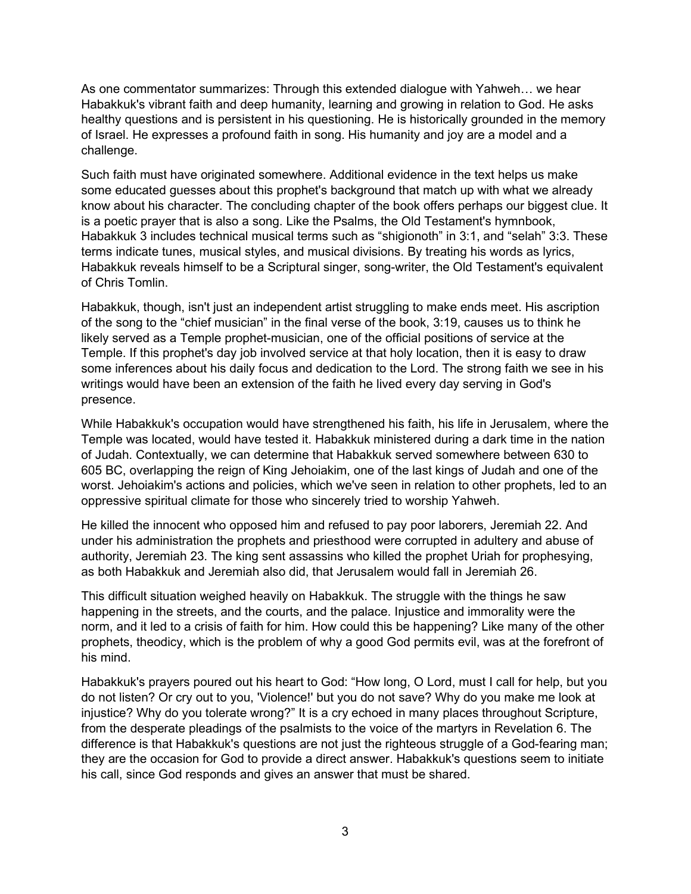As one commentator summarizes: Through this extended dialogue with Yahweh… we hear Habakkuk's vibrant faith and deep humanity, learning and growing in relation to God. He asks healthy questions and is persistent in his questioning. He is historically grounded in the memory of Israel. He expresses a profound faith in song. His humanity and joy are a model and a challenge.

Such faith must have originated somewhere. Additional evidence in the text helps us make some educated guesses about this prophet's background that match up with what we already know about his character. The concluding chapter of the book offers perhaps our biggest clue. It is a poetic prayer that is also a song. Like the Psalms, the Old Testament's hymnbook, Habakkuk 3 includes technical musical terms such as "shigionoth" in 3:1, and "selah" 3:3. These terms indicate tunes, musical styles, and musical divisions. By treating his words as lyrics, Habakkuk reveals himself to be a Scriptural singer, song-writer, the Old Testament's equivalent of Chris Tomlin.

Habakkuk, though, isn't just an independent artist struggling to make ends meet. His ascription of the song to the "chief musician" in the final verse of the book, 3:19, causes us to think he likely served as a Temple prophet-musician, one of the official positions of service at the Temple. If this prophet's day job involved service at that holy location, then it is easy to draw some inferences about his daily focus and dedication to the Lord. The strong faith we see in his writings would have been an extension of the faith he lived every day serving in God's presence.

While Habakkuk's occupation would have strengthened his faith, his life in Jerusalem, where the Temple was located, would have tested it. Habakkuk ministered during a dark time in the nation of Judah. Contextually, we can determine that Habakkuk served somewhere between 630 to 605 BC, overlapping the reign of King Jehoiakim, one of the last kings of Judah and one of the worst. Jehoiakim's actions and policies, which we've seen in relation to other prophets, led to an oppressive spiritual climate for those who sincerely tried to worship Yahweh.

He killed the innocent who opposed him and refused to pay poor laborers, Jeremiah 22. And under his administration the prophets and priesthood were corrupted in adultery and abuse of authority, Jeremiah 23. The king sent assassins who killed the prophet Uriah for prophesying, as both Habakkuk and Jeremiah also did, that Jerusalem would fall in Jeremiah 26.

This difficult situation weighed heavily on Habakkuk. The struggle with the things he saw happening in the streets, and the courts, and the palace. Injustice and immorality were the norm, and it led to a crisis of faith for him. How could this be happening? Like many of the other prophets, theodicy, which is the problem of why a good God permits evil, was at the forefront of his mind.

Habakkuk's prayers poured out his heart to God: "How long, O Lord, must I call for help, but you do not listen? Or cry out to you, 'Violence!' but you do not save? Why do you make me look at injustice? Why do you tolerate wrong?" It is a cry echoed in many places throughout Scripture, from the desperate pleadings of the psalmists to the voice of the martyrs in Revelation 6. The difference is that Habakkuk's questions are not just the righteous struggle of a God-fearing man; they are the occasion for God to provide a direct answer. Habakkuk's questions seem to initiate his call, since God responds and gives an answer that must be shared.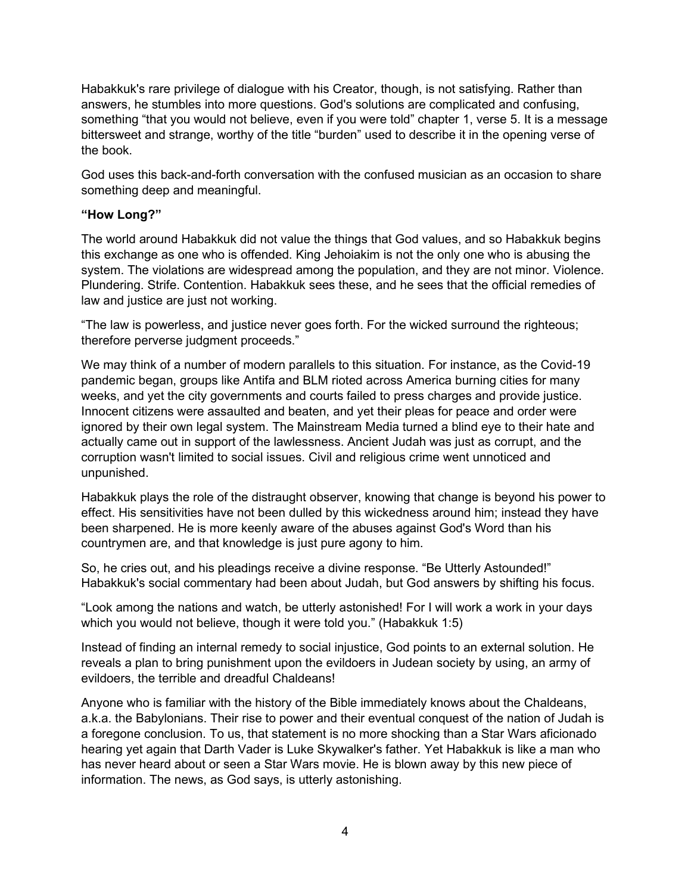Habakkuk's rare privilege of dialogue with his Creator, though, is not satisfying. Rather than answers, he stumbles into more questions. God's solutions are complicated and confusing, something "that you would not believe, even if you were told" chapter 1, verse 5. It is a message bittersweet and strange, worthy of the title "burden" used to describe it in the opening verse of the book.

God uses this back-and-forth conversation with the confused musician as an occasion to share something deep and meaningful.

## **"How Long?"**

The world around Habakkuk did not value the things that God values, and so Habakkuk begins this exchange as one who is offended. King Jehoiakim is not the only one who is abusing the system. The violations are widespread among the population, and they are not minor. Violence. Plundering. Strife. Contention. Habakkuk sees these, and he sees that the official remedies of law and justice are just not working.

"The law is powerless, and justice never goes forth. For the wicked surround the righteous; therefore perverse judgment proceeds."

We may think of a number of modern parallels to this situation. For instance, as the Covid-19 pandemic began, groups like Antifa and BLM rioted across America burning cities for many weeks, and yet the city governments and courts failed to press charges and provide justice. Innocent citizens were assaulted and beaten, and yet their pleas for peace and order were ignored by their own legal system. The Mainstream Media turned a blind eye to their hate and actually came out in support of the lawlessness. Ancient Judah was just as corrupt, and the corruption wasn't limited to social issues. Civil and religious crime went unnoticed and unpunished.

Habakkuk plays the role of the distraught observer, knowing that change is beyond his power to effect. His sensitivities have not been dulled by this wickedness around him; instead they have been sharpened. He is more keenly aware of the abuses against God's Word than his countrymen are, and that knowledge is just pure agony to him.

So, he cries out, and his pleadings receive a divine response. "Be Utterly Astounded!" Habakkuk's social commentary had been about Judah, but God answers by shifting his focus.

"Look among the nations and watch, be utterly astonished! For I will work a work in your days which you would not believe, though it were told you." (Habakkuk 1:5)

Instead of finding an internal remedy to social injustice, God points to an external solution. He reveals a plan to bring punishment upon the evildoers in Judean society by using, an army of evildoers, the terrible and dreadful Chaldeans!

Anyone who is familiar with the history of the Bible immediately knows about the Chaldeans, a.k.a. the Babylonians. Their rise to power and their eventual conquest of the nation of Judah is a foregone conclusion. To us, that statement is no more shocking than a Star Wars aficionado hearing yet again that Darth Vader is Luke Skywalker's father. Yet Habakkuk is like a man who has never heard about or seen a Star Wars movie. He is blown away by this new piece of information. The news, as God says, is utterly astonishing.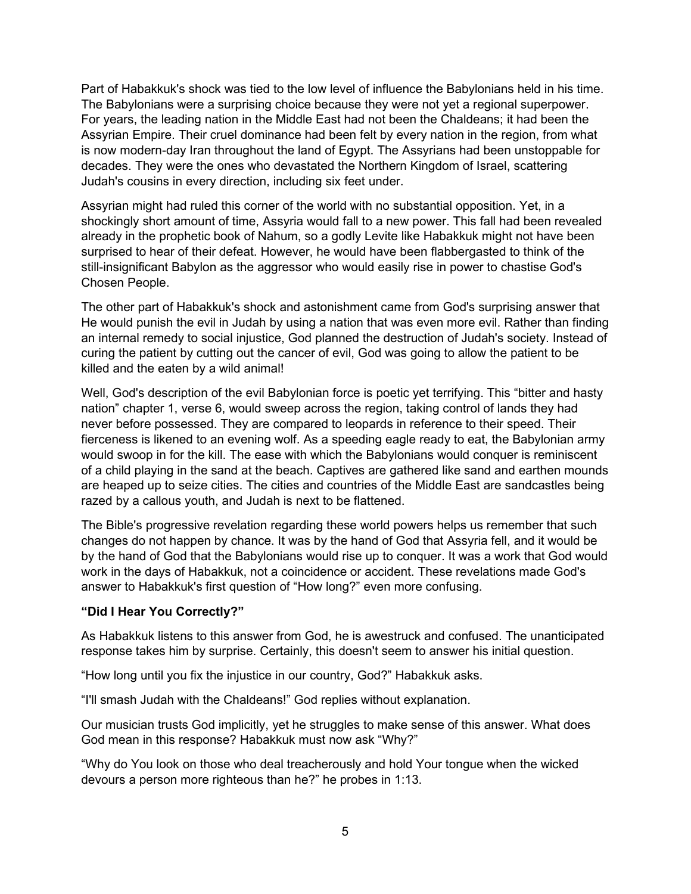Part of Habakkuk's shock was tied to the low level of influence the Babylonians held in his time. The Babylonians were a surprising choice because they were not yet a regional superpower. For years, the leading nation in the Middle East had not been the Chaldeans; it had been the Assyrian Empire. Their cruel dominance had been felt by every nation in the region, from what is now modern-day Iran throughout the land of Egypt. The Assyrians had been unstoppable for decades. They were the ones who devastated the Northern Kingdom of Israel, scattering Judah's cousins in every direction, including six feet under.

Assyrian might had ruled this corner of the world with no substantial opposition. Yet, in a shockingly short amount of time, Assyria would fall to a new power. This fall had been revealed already in the prophetic book of Nahum, so a godly Levite like Habakkuk might not have been surprised to hear of their defeat. However, he would have been flabbergasted to think of the still-insignificant Babylon as the aggressor who would easily rise in power to chastise God's Chosen People.

The other part of Habakkuk's shock and astonishment came from God's surprising answer that He would punish the evil in Judah by using a nation that was even more evil. Rather than finding an internal remedy to social injustice, God planned the destruction of Judah's society. Instead of curing the patient by cutting out the cancer of evil, God was going to allow the patient to be killed and the eaten by a wild animal!

Well, God's description of the evil Babylonian force is poetic yet terrifying. This "bitter and hasty nation" chapter 1, verse 6, would sweep across the region, taking control of lands they had never before possessed. They are compared to leopards in reference to their speed. Their fierceness is likened to an evening wolf. As a speeding eagle ready to eat, the Babylonian army would swoop in for the kill. The ease with which the Babylonians would conquer is reminiscent of a child playing in the sand at the beach. Captives are gathered like sand and earthen mounds are heaped up to seize cities. The cities and countries of the Middle East are sandcastles being razed by a callous youth, and Judah is next to be flattened.

The Bible's progressive revelation regarding these world powers helps us remember that such changes do not happen by chance. It was by the hand of God that Assyria fell, and it would be by the hand of God that the Babylonians would rise up to conquer. It was a work that God would work in the days of Habakkuk, not a coincidence or accident. These revelations made God's answer to Habakkuk's first question of "How long?" even more confusing.

### **"Did I Hear You Correctly?"**

As Habakkuk listens to this answer from God, he is awestruck and confused. The unanticipated response takes him by surprise. Certainly, this doesn't seem to answer his initial question.

"How long until you fix the injustice in our country, God?" Habakkuk asks.

"I'll smash Judah with the Chaldeans!" God replies without explanation.

Our musician trusts God implicitly, yet he struggles to make sense of this answer. What does God mean in this response? Habakkuk must now ask "Why?"

"Why do You look on those who deal treacherously and hold Your tongue when the wicked devours a person more righteous than he?" he probes in 1:13.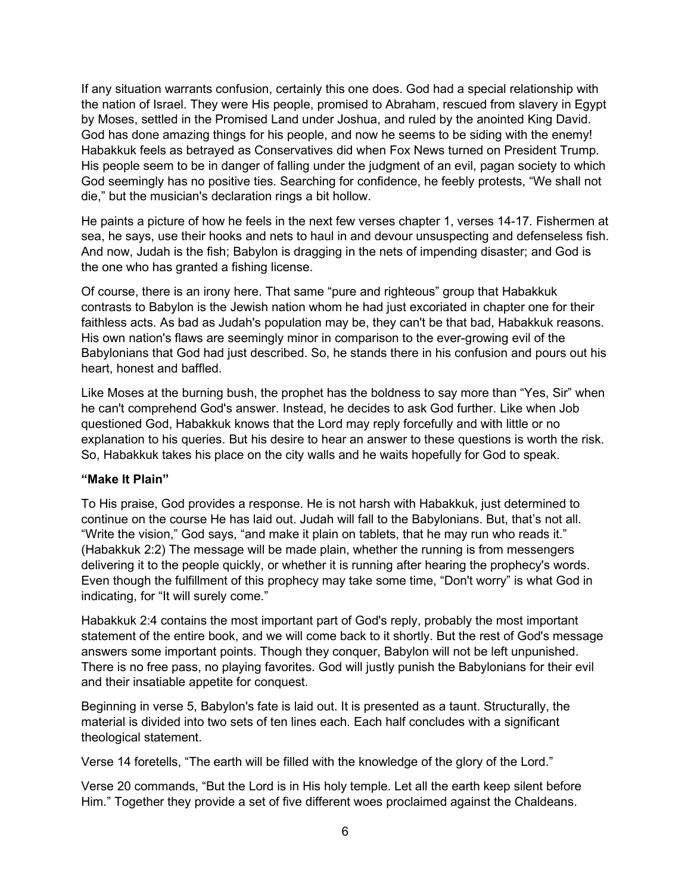If any situation warrants confusion, certainly this one does. God had a special relationship with the nation of Israel. They were His people, promised to Abraham, rescued from slavery in Egypt by Moses, settled in the Promised Land under Joshua, and ruled by the anointed King David. God has done amazing things for his people, and now he seems to be siding with the enemy! Habakkuk feels as betrayed as Conservatives did when Fox News turned on President Trump. His people seem to be in danger of falling under the judgment of an evil, pagan society to which God seemingly has no positive ties. Searching for confidence, he feebly protests, "We shall not die," but the musician's declaration rings a bit hollow.

He paints a picture of how he feels in the next few verses chapter 1, verses 14-17. Fishermen at sea, he says, use their hooks and nets to haul in and devour unsuspecting and defenseless fish. And now, Judah is the fish; Babylon is dragging in the nets of impending disaster; and God is the one who has granted a fishing license.

Of course, there is an irony here. That same "pure and righteous" group that Habakkuk contrasts to Babylon is the Jewish nation whom he had just excoriated in chapter one for their faithless acts. As bad as Judah's population may be, they can't be that bad, Habakkuk reasons. His own nation's flaws are seemingly minor in comparison to the ever-growing evil of the Babylonians that God had just described. So, he stands there in his confusion and pours out his heart, honest and baffled.

Like Moses at the burning bush, the prophet has the boldness to say more than "Yes, Sir" when he can't comprehend God's answer. Instead, he decides to ask God further. Like when Job questioned God, Habakkuk knows that the Lord may reply forcefully and with little or no explanation to his queries. But his desire to hear an answer to these questions is worth the risk. So, Habakkuk takes his place on the city walls and he waits hopefully for God to speak.

### **"Make It Plain"**

To His praise, God provides a response. He is not harsh with Habakkuk, just determined to continue on the course He has laid out. Judah will fall to the Babylonians. But, that's not all. "Write the vision," God says, "and make it plain on tablets, that he may run who reads it." (Habakkuk 2:2) The message will be made plain, whether the running is from messengers delivering it to the people quickly, or whether it is running after hearing the prophecy's words. Even though the fulfillment of this prophecy may take some time, "Don't worry" is what God in indicating, for "It will surely come."

Habakkuk 2:4 contains the most important part of God's reply, probably the most important statement of the entire book, and we will come back to it shortly. But the rest of God's message answers some important points. Though they conquer, Babylon will not be left unpunished. There is no free pass, no playing favorites. God will justly punish the Babylonians for their evil and their insatiable appetite for conquest.

Beginning in verse 5, Babylon's fate is laid out. It is presented as a taunt. Structurally, the material is divided into two sets of ten lines each. Each half concludes with a significant theological statement.

Verse 14 foretells, "The earth will be filled with the knowledge of the glory of the Lord."

Verse 20 commands, "But the Lord is in His holy temple. Let all the earth keep silent before Him." Together they provide a set of five different woes proclaimed against the Chaldeans.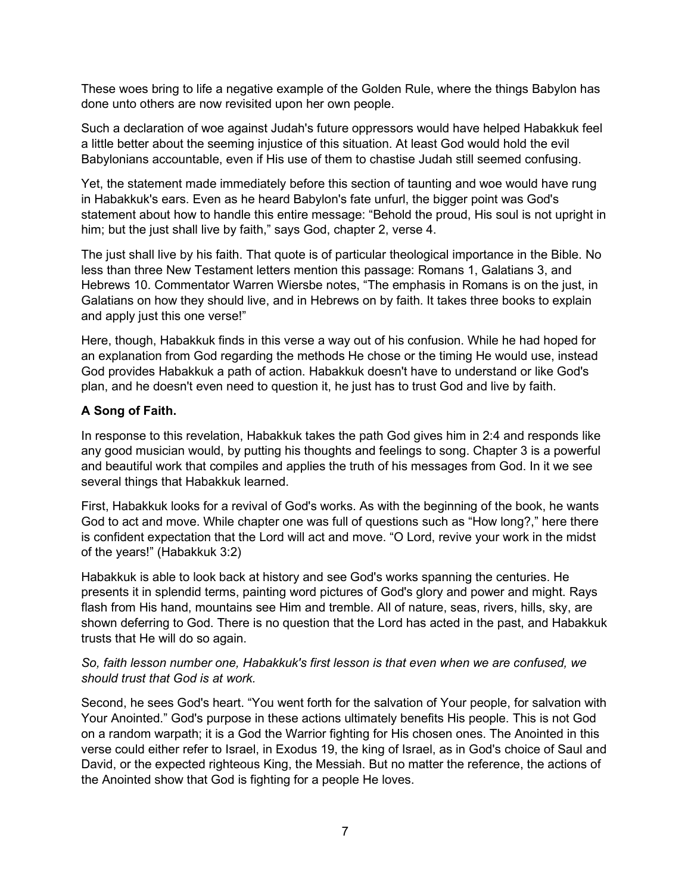These woes bring to life a negative example of the Golden Rule, where the things Babylon has done unto others are now revisited upon her own people.

Such a declaration of woe against Judah's future oppressors would have helped Habakkuk feel a little better about the seeming injustice of this situation. At least God would hold the evil Babylonians accountable, even if His use of them to chastise Judah still seemed confusing.

Yet, the statement made immediately before this section of taunting and woe would have rung in Habakkuk's ears. Even as he heard Babylon's fate unfurl, the bigger point was God's statement about how to handle this entire message: "Behold the proud, His soul is not upright in him; but the just shall live by faith," says God, chapter 2, verse 4.

The just shall live by his faith. That quote is of particular theological importance in the Bible. No less than three New Testament letters mention this passage: Romans 1, Galatians 3, and Hebrews 10. Commentator Warren Wiersbe notes, "The emphasis in Romans is on the just, in Galatians on how they should live, and in Hebrews on by faith. It takes three books to explain and apply just this one verse!"

Here, though, Habakkuk finds in this verse a way out of his confusion. While he had hoped for an explanation from God regarding the methods He chose or the timing He would use, instead God provides Habakkuk a path of action. Habakkuk doesn't have to understand or like God's plan, and he doesn't even need to question it, he just has to trust God and live by faith.

## **A Song of Faith.**

In response to this revelation, Habakkuk takes the path God gives him in 2:4 and responds like any good musician would, by putting his thoughts and feelings to song. Chapter 3 is a powerful and beautiful work that compiles and applies the truth of his messages from God. In it we see several things that Habakkuk learned.

First, Habakkuk looks for a revival of God's works. As with the beginning of the book, he wants God to act and move. While chapter one was full of questions such as "How long?," here there is confident expectation that the Lord will act and move. "O Lord, revive your work in the midst of the years!" (Habakkuk 3:2)

Habakkuk is able to look back at history and see God's works spanning the centuries. He presents it in splendid terms, painting word pictures of God's glory and power and might. Rays flash from His hand, mountains see Him and tremble. All of nature, seas, rivers, hills, sky, are shown deferring to God. There is no question that the Lord has acted in the past, and Habakkuk trusts that He will do so again.

### *So, faith lesson number one, Habakkuk's first lesson is that even when we are confused, we should trust that God is at work.*

Second, he sees God's heart. "You went forth for the salvation of Your people, for salvation with Your Anointed." God's purpose in these actions ultimately benefits His people. This is not God on a random warpath; it is a God the Warrior fighting for His chosen ones. The Anointed in this verse could either refer to Israel, in Exodus 19, the king of Israel, as in God's choice of Saul and David, or the expected righteous King, the Messiah. But no matter the reference, the actions of the Anointed show that God is fighting for a people He loves.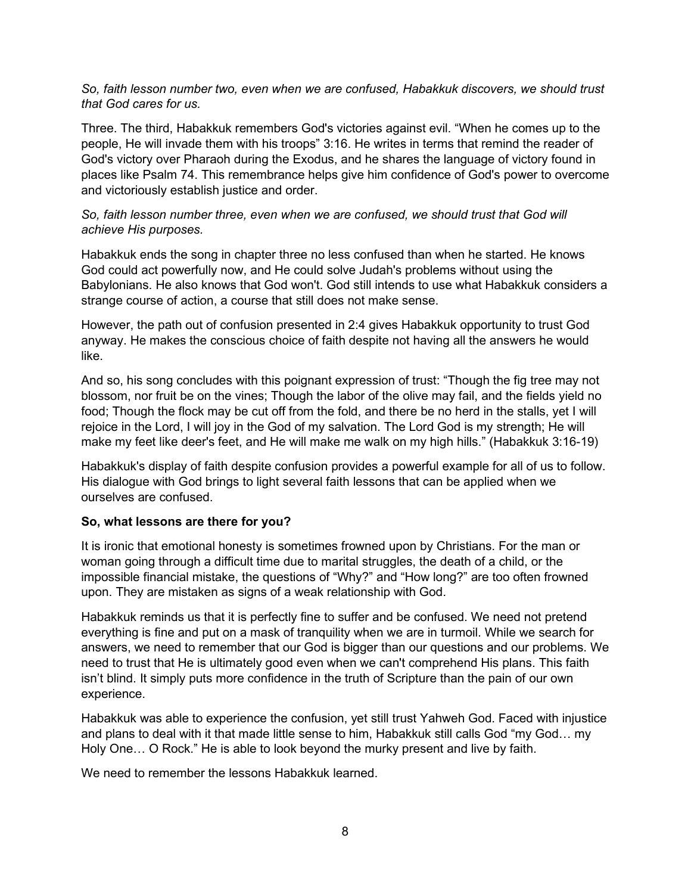### *So, faith lesson number two, even when we are confused, Habakkuk discovers, we should trust that God cares for us.*

Three. The third, Habakkuk remembers God's victories against evil. "When he comes up to the people, He will invade them with his troops" 3:16. He writes in terms that remind the reader of God's victory over Pharaoh during the Exodus, and he shares the language of victory found in places like Psalm 74. This remembrance helps give him confidence of God's power to overcome and victoriously establish justice and order.

## *So, faith lesson number three, even when we are confused, we should trust that God will achieve His purposes.*

Habakkuk ends the song in chapter three no less confused than when he started. He knows God could act powerfully now, and He could solve Judah's problems without using the Babylonians. He also knows that God won't. God still intends to use what Habakkuk considers a strange course of action, a course that still does not make sense.

However, the path out of confusion presented in 2:4 gives Habakkuk opportunity to trust God anyway. He makes the conscious choice of faith despite not having all the answers he would like.

And so, his song concludes with this poignant expression of trust: "Though the fig tree may not blossom, nor fruit be on the vines; Though the labor of the olive may fail, and the fields yield no food; Though the flock may be cut off from the fold, and there be no herd in the stalls, yet I will rejoice in the Lord, I will joy in the God of my salvation. The Lord God is my strength; He will make my feet like deer's feet, and He will make me walk on my high hills." (Habakkuk 3:16-19)

Habakkuk's display of faith despite confusion provides a powerful example for all of us to follow. His dialogue with God brings to light several faith lessons that can be applied when we ourselves are confused.

### **So, what lessons are there for you?**

It is ironic that emotional honesty is sometimes frowned upon by Christians. For the man or woman going through a difficult time due to marital struggles, the death of a child, or the impossible financial mistake, the questions of "Why?" and "How long?" are too often frowned upon. They are mistaken as signs of a weak relationship with God.

Habakkuk reminds us that it is perfectly fine to suffer and be confused. We need not pretend everything is fine and put on a mask of tranquility when we are in turmoil. While we search for answers, we need to remember that our God is bigger than our questions and our problems. We need to trust that He is ultimately good even when we can't comprehend His plans. This faith isn't blind. It simply puts more confidence in the truth of Scripture than the pain of our own experience.

Habakkuk was able to experience the confusion, yet still trust Yahweh God. Faced with injustice and plans to deal with it that made little sense to him, Habakkuk still calls God "my God… my Holy One… O Rock." He is able to look beyond the murky present and live by faith.

We need to remember the lessons Habakkuk learned.